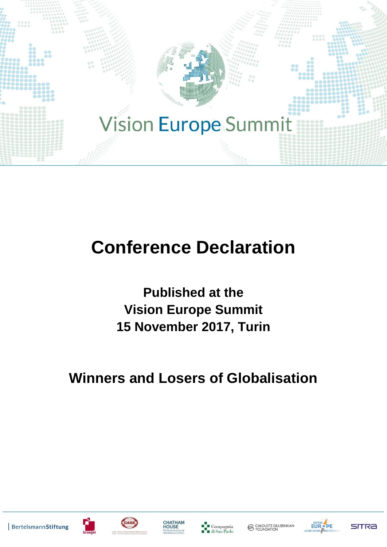

# **Conference Declaration**

**Published at the Vision Europe Summit 15 November 2017, Turin**

## **Winners and Losers of Globalisation**









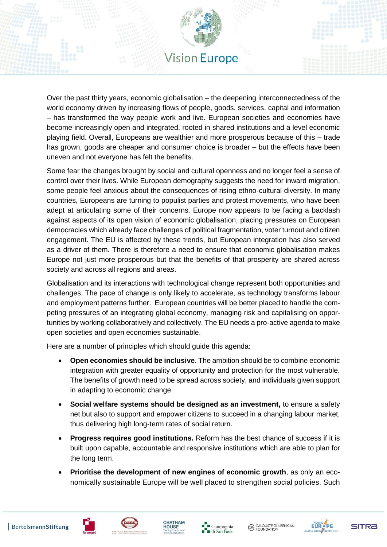

Over the past thirty years, economic globalisation – the deepening interconnectedness of the world economy driven by increasing flows of people, goods, services, capital and information – has transformed the way people work and live. European societies and economies have become increasingly open and integrated, rooted in shared institutions and a level economic playing field. Overall, Europeans are wealthier and more prosperous because of this – trade has grown, goods are cheaper and consumer choice is broader – but the effects have been uneven and not everyone has felt the benefits.

Some fear the changes brought by social and cultural openness and no longer feel a sense of control over their lives. While European demography suggests the need for inward migration, some people feel anxious about the consequences of rising ethno-cultural diversity. In many countries, Europeans are turning to populist parties and protest movements, who have been adept at articulating some of their concerns. Europe now appears to be facing a backlash against aspects of its open vision of economic globalisation, placing pressures on European democracies which already face challenges of political fragmentation, voter turnout and citizen engagement. The EU is affected by these trends, but European integration has also served as a driver of them. There is therefore a need to ensure that economic globalisation makes Europe not just more prosperous but that the benefits of that prosperity are shared across society and across all regions and areas.

Globalisation and its interactions with technological change represent both opportunities and challenges. The pace of change is only likely to accelerate, as technology transforms labour and employment patterns further. European countries will be better placed to handle the competing pressures of an integrating global economy, managing risk and capitalising on opportunities by working collaboratively and collectively. The EU needs a pro-active agenda to make open societies and open economies sustainable.

Here are a number of principles which should guide this agenda:

- **Open economies should be inclusive**. The ambition should be to combine economic integration with greater equality of opportunity and protection for the most vulnerable. The benefits of growth need to be spread across society, and individuals given support in adapting to economic change.
- **Social welfare systems should be designed as an investment,** to ensure a safety net but also to support and empower citizens to succeed in a changing labour market, thus delivering high long-term rates of social return.
- **Progress requires good institutions.** Reform has the best chance of success if it is built upon capable, accountable and responsive institutions which are able to plan for the long term.
- **Prioritise the development of new engines of economic growth**, as only an economically sustainable Europe will be well placed to strengthen social policies. Such







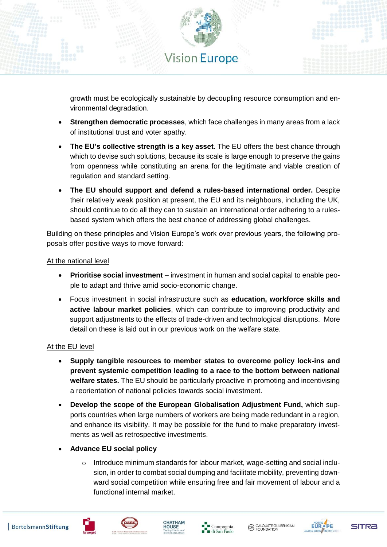

growth must be ecologically sustainable by decoupling resource consumption and environmental degradation.

- **Strengthen democratic processes**, which face challenges in many areas from a lack of institutional trust and voter apathy.
- **The EU's collective strength is a key asset**. The EU offers the best chance through which to devise such solutions, because its scale is large enough to preserve the gains from openness while constituting an arena for the legitimate and viable creation of regulation and standard setting.
- **The EU should support and defend a rules-based international order.** Despite their relatively weak position at present, the EU and its neighbours, including the UK, should continue to do all they can to sustain an international order adhering to a rulesbased system which offers the best chance of addressing global challenges.

Building on these principles and Vision Europe's work over previous years, the following proposals offer positive ways to move forward:

#### At the national level

- **Prioritise social investment** investment in human and social capital to enable people to adapt and thrive amid socio-economic change.
- Focus investment in social infrastructure such as **education, workforce skills and active labour market policies**, which can contribute to improving productivity and support adjustments to the effects of trade-driven and technological disruptions. More detail on these is laid out in our previous work on the welfare state.

#### At the EU level

- **Supply tangible resources to member states to overcome policy lock-ins and prevent systemic competition leading to a race to the bottom between national welfare states.** The EU should be particularly proactive in promoting and incentivising a reorientation of national policies towards social investment.
- **Develop the scope of the European Globalisation Adjustment Fund,** which supports countries when large numbers of workers are being made redundant in a region, and enhance its visibility. It may be possible for the fund to make preparatory investments as well as retrospective investments.
- **Advance EU social policy**
	- $\circ$  Introduce minimum standards for labour market, wage-setting and social inclusion, in order to combat social dumping and facilitate mobility, preventing downward social competition while ensuring free and fair movement of labour and a functional internal market.







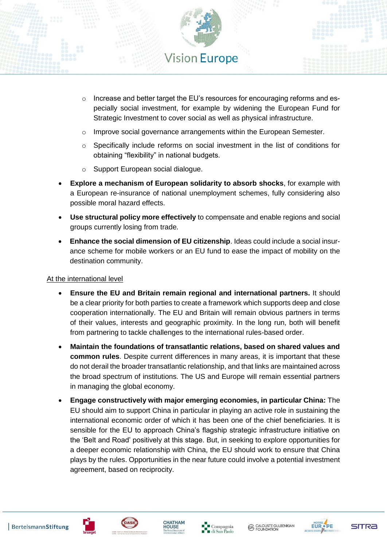

- $\circ$  Increase and better target the EU's resources for encouraging reforms and especially social investment, for example by widening the European Fund for Strategic Investment to cover social as well as physical infrastructure.
- o Improve social governance arrangements within the European Semester.
- $\circ$  Specifically include reforms on social investment in the list of conditions for obtaining "flexibility" in national budgets.
- o Support European social dialogue.
- **Explore a mechanism of European solidarity to absorb shocks**, for example with a European re-insurance of national unemployment schemes, fully considering also possible moral hazard effects.
- **Use structural policy more effectively** to compensate and enable regions and social groups currently losing from trade.
- **Enhance the social dimension of EU citizenship**. Ideas could include a social insurance scheme for mobile workers or an EU fund to ease the impact of mobility on the destination community.

#### At the international level

- **Ensure the EU and Britain remain regional and international partners.** It should be a clear priority for both parties to create a framework which supports deep and close cooperation internationally. The EU and Britain will remain obvious partners in terms of their values, interests and geographic proximity. In the long run, both will benefit from partnering to tackle challenges to the international rules-based order.
- **Maintain the foundations of transatlantic relations, based on shared values and common rules**. Despite current differences in many areas, it is important that these do not derail the broader transatlantic relationship, and that links are maintained across the broad spectrum of institutions. The US and Europe will remain essential partners in managing the global economy.
- **Engage constructively with major emerging economies, in particular China:** The EU should aim to support China in particular in playing an active role in sustaining the international economic order of which it has been one of the chief beneficiaries. It is sensible for the EU to approach China's flagship strategic infrastructure initiative on the 'Belt and Road' positively at this stage. But, in seeking to explore opportunities for a deeper economic relationship with China, the EU should work to ensure that China plays by the rules. Opportunities in the near future could involve a potential investment agreement, based on reciprocity.









**SITRA**